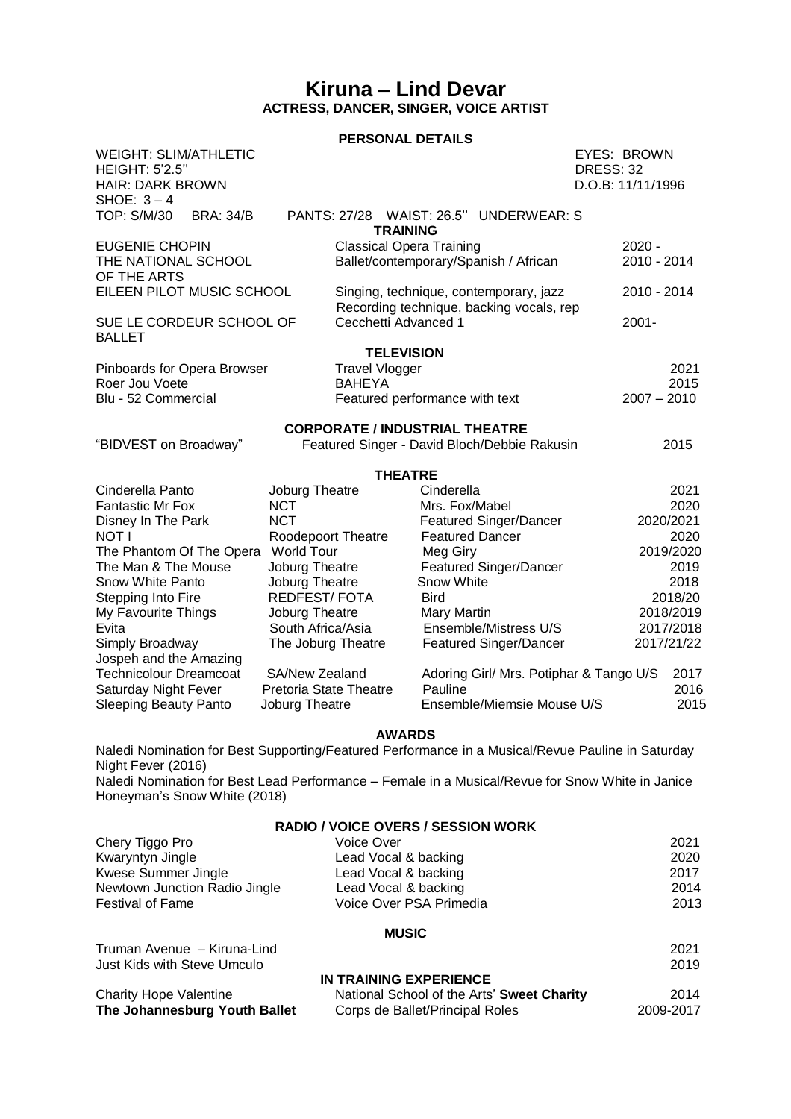## **Kiruna – Lind Devar ACTRESS, DANCER, SINGER, VOICE ARTIST**

## **PERSONAL DETAILS**

| <b>WEIGHT: SLIM/ATHLETIC</b><br><b>HEIGHT: 5'2.5"</b><br><b>HAIR: DARK BROWN</b><br>SHOE: $3-4$ |                                                 |                                                                                    |                        |                                              | <b>EYES: BROWN</b><br><b>DRESS: 32</b><br>D.O.B: 11/11/1996 |                         |           |
|-------------------------------------------------------------------------------------------------|-------------------------------------------------|------------------------------------------------------------------------------------|------------------------|----------------------------------------------|-------------------------------------------------------------|-------------------------|-----------|
| TOP: S/M/30<br><b>BRA: 34/B</b>                                                                 |                                                 | <b>TRAINING</b>                                                                    |                        | PANTS: 27/28 WAIST: 26.5" UNDERWEAR: S       |                                                             |                         |           |
| <b>EUGENIE CHOPIN</b><br>THE NATIONAL SCHOOL<br>OF THE ARTS                                     |                                                 | <b>Classical Opera Training</b>                                                    |                        | Ballet/contemporary/Spanish / African        |                                                             | $2020 -$<br>2010 - 2014 |           |
| EILEEN PILOT MUSIC SCHOOL                                                                       |                                                 | Singing, technique, contemporary, jazz<br>Recording technique, backing vocals, rep |                        |                                              |                                                             | 2010 - 2014             |           |
| SUE LE CORDEUR SCHOOL OF<br><b>BALLET</b>                                                       |                                                 | Cecchetti Advanced 1                                                               |                        |                                              |                                                             | $2001 -$                |           |
|                                                                                                 |                                                 | <b>TELEVISION</b>                                                                  |                        |                                              |                                                             |                         |           |
| Pinboards for Opera Browser<br>Roer Jou Voete                                                   | <b>Travel Vlogger</b><br><b>BAHEYA</b>          |                                                                                    |                        |                                              | 2021<br>2015                                                |                         |           |
| Blu - 52 Commercial                                                                             | Featured performance with text                  |                                                                                    |                        |                                              | $2007 - 2010$                                               |                         |           |
| "BIDVEST on Broadway"                                                                           |                                                 | <b>CORPORATE / INDUSTRIAL THEATRE</b>                                              |                        | Featured Singer - David Bloch/Debbie Rakusin |                                                             |                         | 2015      |
|                                                                                                 |                                                 | <b>THEATRE</b>                                                                     |                        |                                              |                                                             |                         |           |
| Cinderella Panto                                                                                | Joburg Theatre                                  |                                                                                    | Cinderella             |                                              |                                                             |                         | 2021      |
| <b>Fantastic Mr Fox</b>                                                                         | <b>NCT</b>                                      |                                                                                    | Mrs. Fox/Mabel         |                                              |                                                             |                         | 2020      |
| Disney In The Park                                                                              | <b>NCT</b>                                      |                                                                                    |                        | <b>Featured Singer/Dancer</b>                |                                                             |                         | 2020/2021 |
| NOT I                                                                                           | Roodepoort Theatre                              |                                                                                    | <b>Featured Dancer</b> |                                              |                                                             |                         | 2020      |
| The Phantom Of The Opera                                                                        | <b>World Tour</b>                               |                                                                                    | Meg Giry               |                                              | 2019/2020                                                   |                         |           |
| The Man & The Mouse                                                                             | Joburg Theatre                                  |                                                                                    |                        | <b>Featured Singer/Dancer</b>                |                                                             | 2019                    |           |
| Snow White Panto                                                                                | Joburg Theatre                                  |                                                                                    | Snow White             |                                              |                                                             | 2018                    |           |
| Stepping Into Fire                                                                              | <b>REDFEST/FOTA</b>                             |                                                                                    | <b>Bird</b>            |                                              |                                                             | 2018/20                 |           |
| My Favourite Things                                                                             | Joburg Theatre                                  |                                                                                    | <b>Mary Martin</b>     |                                              |                                                             | 2018/2019               |           |
| Evita                                                                                           | South Africa/Asia                               |                                                                                    |                        | Ensemble/Mistress U/S                        |                                                             | 2017/2018<br>2017/21/22 |           |
| Simply Broadway                                                                                 | The Joburg Theatre                              |                                                                                    |                        | <b>Featured Singer/Dancer</b>                |                                                             |                         |           |
| Jospeh and the Amazing<br><b>Technicolour Dreamcoat</b>                                         |                                                 |                                                                                    |                        |                                              |                                                             |                         | 2017      |
| Saturday Night Fever                                                                            | SA/New Zealand<br><b>Pretoria State Theatre</b> |                                                                                    | Pauline                | Adoring Girl/ Mrs. Potiphar & Tango U/S      |                                                             |                         | 2016      |
| <b>Sleeping Beauty Panto</b>                                                                    | Joburg Theatre                                  |                                                                                    |                        | Ensemble/Miemsie Mouse U/S                   |                                                             |                         | 2015      |

## **AWARDS**

Naledi Nomination for Best Supporting/Featured Performance in a Musical/Revue Pauline in Saturday Night Fever (2016) Naledi Nomination for Best Lead Performance – Female in a Musical/Revue for Snow White in Janice

Honeyman's Snow White (2018)

| <b>RADIO / VOICE OVERS / SESSION WORK</b> |                                            |           |  |  |  |  |  |
|-------------------------------------------|--------------------------------------------|-----------|--|--|--|--|--|
| Chery Tiggo Pro                           | Voice Over                                 | 2021      |  |  |  |  |  |
| Kwaryntyn Jingle                          | Lead Vocal & backing                       | 2020      |  |  |  |  |  |
| Kwese Summer Jingle                       | Lead Vocal & backing                       | 2017      |  |  |  |  |  |
| Newtown Junction Radio Jingle             | Lead Vocal & backing                       | 2014      |  |  |  |  |  |
| <b>Festival of Fame</b>                   | Voice Over PSA Primedia                    | 2013      |  |  |  |  |  |
| <b>MUSIC</b>                              |                                            |           |  |  |  |  |  |
| Truman Avenue - Kiruna-Lind               |                                            | 2021      |  |  |  |  |  |
| Just Kids with Steve Umculo               |                                            | 2019      |  |  |  |  |  |
|                                           | IN TRAINING EXPERIENCE                     |           |  |  |  |  |  |
| <b>Charity Hope Valentine</b>             | National School of the Arts' Sweet Charity | 2014      |  |  |  |  |  |
| The Johannesburg Youth Ballet             | Corps de Ballet/Principal Roles            | 2009-2017 |  |  |  |  |  |